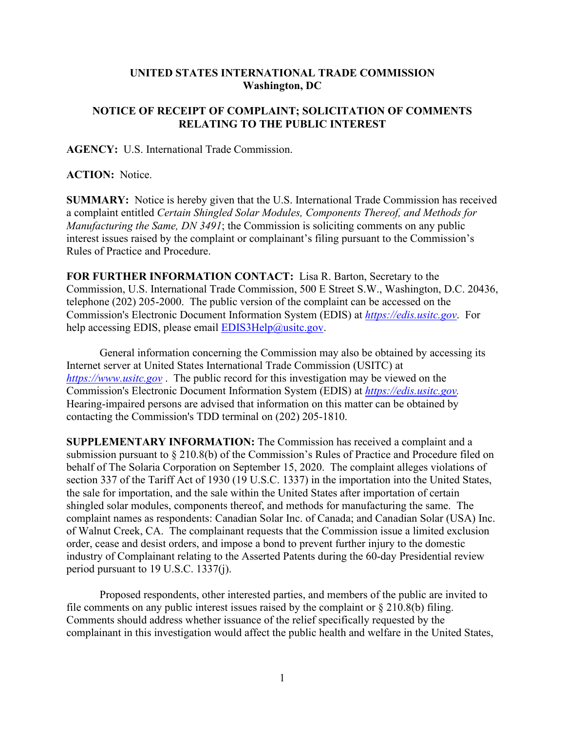## **UNITED STATES INTERNATIONAL TRADE COMMISSION Washington, DC**

## **NOTICE OF RECEIPT OF COMPLAINT; SOLICITATION OF COMMENTS RELATING TO THE PUBLIC INTEREST**

**AGENCY:** U.S. International Trade Commission.

**ACTION:** Notice.

**SUMMARY:** Notice is hereby given that the U.S. International Trade Commission has received a complaint entitled *Certain Shingled Solar Modules, Components Thereof, and Methods for Manufacturing the Same, DN 3491*; the Commission is soliciting comments on any public interest issues raised by the complaint or complainant's filing pursuant to the Commission's Rules of Practice and Procedure.

**FOR FURTHER INFORMATION CONTACT:** Lisa R. Barton, Secretary to the Commission, U.S. International Trade Commission, 500 E Street S.W., Washington, D.C. 20436, telephone (202) 205-2000. The public version of the complaint can be accessed on the Commission's Electronic Document Information System (EDIS) at *[https://edis.usitc.gov](https://edis.usitc.gov/)*. For help accessing EDIS, please email  $EDIS3Help@usite.gov$ .

General information concerning the Commission may also be obtained by accessing its Internet server at United States International Trade Commission (USITC) at *[https://www.usitc.gov](https://www.usitc.gov/)* . The public record for this investigation may be viewed on the Commission's Electronic Document Information System (EDIS) at *[https://edis.usitc.gov.](https://edis.usitc.gov/)* Hearing-impaired persons are advised that information on this matter can be obtained by contacting the Commission's TDD terminal on (202) 205-1810.

**SUPPLEMENTARY INFORMATION:** The Commission has received a complaint and a submission pursuant to § 210.8(b) of the Commission's Rules of Practice and Procedure filed on behalf of The Solaria Corporation on September 15, 2020. The complaint alleges violations of section 337 of the Tariff Act of 1930 (19 U.S.C. 1337) in the importation into the United States, the sale for importation, and the sale within the United States after importation of certain shingled solar modules, components thereof, and methods for manufacturing the same. The complaint names as respondents: Canadian Solar Inc. of Canada; and Canadian Solar (USA) Inc. of Walnut Creek, CA. The complainant requests that the Commission issue a limited exclusion order, cease and desist orders, and impose a bond to prevent further injury to the domestic industry of Complainant relating to the Asserted Patents during the 60-day Presidential review period pursuant to 19 U.S.C. 1337(j).

Proposed respondents, other interested parties, and members of the public are invited to file comments on any public interest issues raised by the complaint or § 210.8(b) filing. Comments should address whether issuance of the relief specifically requested by the complainant in this investigation would affect the public health and welfare in the United States,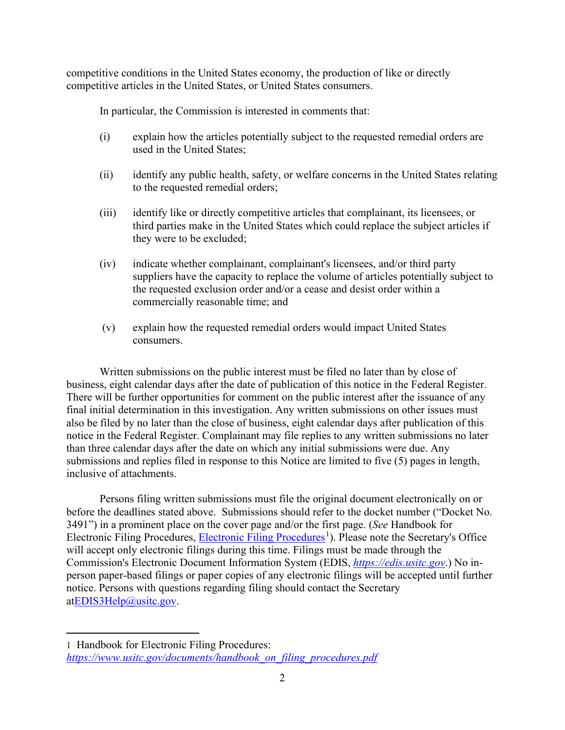competitive conditions in the United States economy, the production of like or directly competitive articles in the United States, or United States consumers.

In particular, the Commission is interested in comments that:

- (i) explain how the articles potentially subject to the requested remedial orders are used in the United States;
- (ii) identify any public health, safety, or welfare concerns in the United States relating to the requested remedial orders;
- (iii) identify like or directly competitive articles that complainant, its licensees, or third parties make in the United States which could replace the subject articles if they were to be excluded;
- (iv) indicate whether complainant, complainant's licensees, and/or third party suppliers have the capacity to replace the volume of articles potentially subject to the requested exclusion order and/or a cease and desist order within a commercially reasonable time; and
- (v) explain how the requested remedial orders would impact United States consumers.

Written submissions on the public interest must be filed no later than by close of business, eight calendar days after the date of publication of this notice in the Federal Register. There will be further opportunities for comment on the public interest after the issuance of any final initial determination in this investigation. Any written submissions on other issues must also be filed by no later than the close of business, eight calendar days after publication of this notice in the Federal Register. Complainant may file replies to any written submissions no later than three calendar days after the date on which any initial submissions were due. Any submissions and replies filed in response to this Notice are limited to five (5) pages in length, inclusive of attachments.

Persons filing written submissions must file the original document electronically on or before the deadlines stated above. Submissions should refer to the docket number ("Docket No. 3491") in a prominent place on the cover page and/or the first page. (*See* Handbook for Electronic Filing Procedures, [Electronic Filing Procedures](https://www.usitc.gov/documents/handbook_on_filing_procedures.pdf)<sup>[1](#page-1-0)</sup>). Please note the Secretary's Office will accept only electronic filings during this time. Filings must be made through the Commission's Electronic Document Information System (EDIS, *[https://edis.usitc.gov](https://edis.usitc.gov/)*.) No inperson paper-based filings or paper copies of any electronic filings will be accepted until further notice. Persons with questions regarding filing should contact the Secretary a[tEDIS3Help@usitc.gov.](mailto:EDIS3Help@usitc.gov)

<span id="page-1-0"></span><sup>1</sup> Handbook for Electronic Filing Procedures: *[https://www.usitc.gov/documents/handbook\\_on\\_filing\\_procedures.pdf](https://www.usitc.gov/documents/handbook_on_filing_procedures.pdf)*